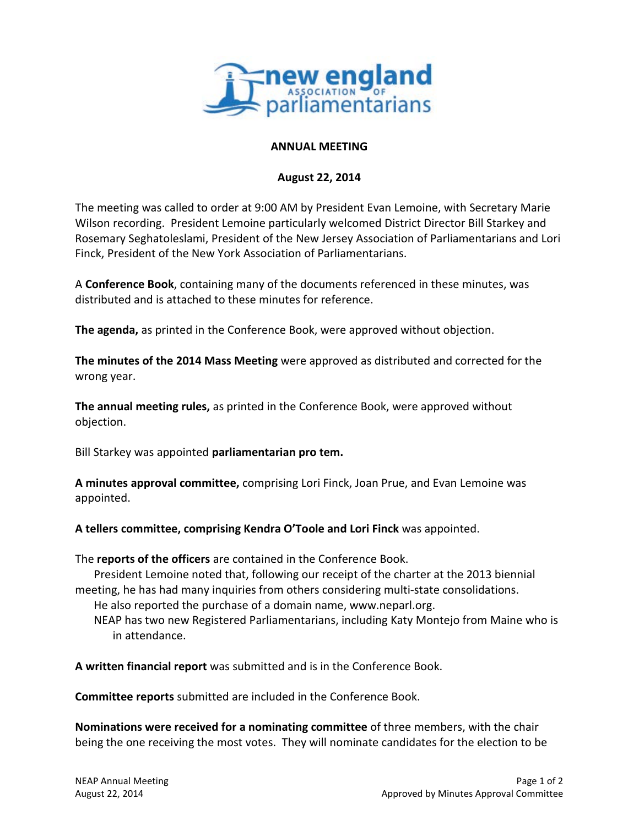

## **ANNUAL MEETING**

## **August 22, 2014**

The meeting was called to order at 9:00 AM by President Evan Lemoine, with Secretary Marie Wilson recording. President Lemoine particularly welcomed District Director Bill Starkey and Rosemary Seghatoleslami, President of the New Jersey Association of Parliamentarians and Lori Finck, President of the New York Association of Parliamentarians.

A **Conference Book**, containing many of the documents referenced in these minutes, was distributed and is attached to these minutes for reference.

**The agenda,** as printed in the Conference Book, were approved without objection.

**The minutes of the 2014 Mass Meeting** were approved as distributed and corrected for the wrong year.

**The annual meeting rules,** as printed in the Conference Book, were approved without objection.

Bill Starkey was appointed **parliamentarian pro tem.**

**A minutes approval committee,** comprising Lori Finck, Joan Prue, and Evan Lemoine was appointed.

**A tellers committee, comprising Kendra O'Toole and Lori Finck** was appointed.

The **reports of the officers** are contained in the Conference Book.

President Lemoine noted that, following our receipt of the charter at the 2013 biennial meeting, he has had many inquiries from others considering multi-state consolidations.

He also reported the purchase of a domain name, www.neparl.org.

NEAP has two new Registered Parliamentarians, including Katy Montejo from Maine who is in attendance.

**A written financial report** was submitted and is in the Conference Book.

**Committee reports** submitted are included in the Conference Book.

**Nominations were received for a nominating committee** of three members, with the chair being the one receiving the most votes. They will nominate candidates for the election to be